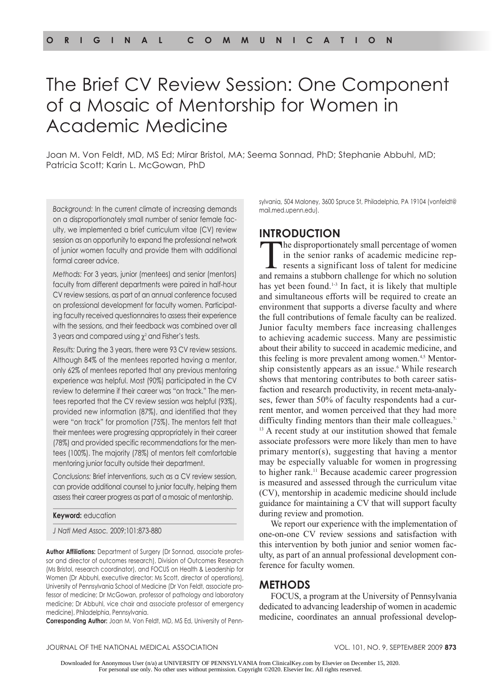# The Brief CV Review Session: One Component of a Mosaic of Mentorship for Women in Academic Medicine

Joan M. Von Feldt, MD, MS Ed; Mirar Bristol, MA; Seema Sonnad, PhD; Stephanie Abbuhl, MD; Patricia Scott; Karin L. McGowan, PhD

*Background:* In the current climate of increasing demands on a disproportionately small number of senior female faculty, we implemented a brief curriculum vitae (CV) review session as an opportunity to expand the professional network of junior women faculty and provide them with additional formal career advice.

*Methods:* For 3 years, junior (mentees) and senior (mentors) faculty from different departments were paired in half-hour CV review sessions, as part of an annual conference focused on professional development for faculty women. Participating faculty received questionnaires to assess their experience with the sessions, and their feedback was combined over all 3 years and compared using  $\chi^2$  and Fisher's tests.

*Results:* During the 3 years, there were 93 CV review sessions. Although 84% of the mentees reported having a mentor, only 62% of mentees reported that any previous mentoring experience was helpful. Most (90%) participated in the CV review to determine if their career was "on track." The mentees reported that the CV review session was helpful (93%), provided new information (87%), and identified that they were "on track" for promotion (75%). The mentors felt that their mentees were progressing appropriately in their career (78%) and provided specific recommendations for the mentees (100%). The majority (78%) of mentors felt comfortable mentoring junior faculty outside their department.

*Conclusions:* Brief interventions, such as a CV review session, can provide additional counsel to junior faculty, helping them assess their career progress as part of a mosaic of mentorship.

**Keyword:** education

*J Natl Med Assoc.* 2009;101:873-880

**Author Affiliations:** Department of Surgery (Dr Sonnad, associate professor and director of outcomes research), Division of Outcomes Research (Ms Bristol, research coordinator), and FOCUS on Health & Leadership for Women (Dr Abbuhl, executive director; Ms Scott, director of operations), University of Pennsylvania School of Medicine (Dr Von Feldt, associate professor of medicine; Dr McGowan, professor of pathology and laboratory medicine; Dr Abbuhl, vice chair and associate professor of emergency medicine), Philadelphia, Pennsylvania.

**Corresponding Author:** Joan M. Von Feldt, MD, MS Ed, University of Penn-

sylvania, 504 Maloney, 3600 Spruce St, Philadelphia, PA 19104 (vonfeldt@ mail.med.upenn.edu).

# **Introduction**

The disproportionately small percentage of women in the senior ranks of academic medicine represents a significant loss of talent for medicine and remains a stubborn challenge for which no solution has yet been found.1-3 In fact, it is likely that multiple and simultaneous efforts will be required to create an environment that supports a diverse faculty and where the full contributions of female faculty can be realized. Junior faculty members face increasing challenges to achieving academic success. Many are pessimistic about their ability to succeed in academic medicine, and this feeling is more prevalent among women.<sup>4,5</sup> Mentorship consistently appears as an issue.<sup>6</sup> While research shows that mentoring contributes to both career satisfaction and research productivity, in recent meta-analyses, fewer than 50% of faculty respondents had a current mentor, and women perceived that they had more difficulty finding mentors than their male colleagues.<sup>7-</sup> <sup>13</sup> A recent study at our institution showed that female associate professors were more likely than men to have primary mentor(s), suggesting that having a mentor may be especially valuable for women in progressing to higher rank.11 Because academic career progression is measured and assessed through the curriculum vitae (CV), mentorship in academic medicine should include guidance for maintaining a CV that will support faculty during review and promotion.

We report our experience with the implementation of one-on-one CV review sessions and satisfaction with this intervention by both junior and senior women faculty, as part of an annual professional development conference for faculty women.

# **Methods**

FOCUS, a program at the University of Pennsylvania dedicated to advancing leadership of women in academic medicine, coordinates an annual professional develop-

#### JOURNAL OF THE NATIONAL MEDICAL ASSOCIATION VOL. 101, NO. 9, SEPTEMBER 2009 **873**

Downloaded for Anonymous User (n/a) at UNIVERSITY OF PENNSYLVANIA from ClinicalKey.com by Elsevier on December 15, 2020. For personal use only. No other uses without permission. Copyright ©2020. Elsevier Inc. All rights reserved.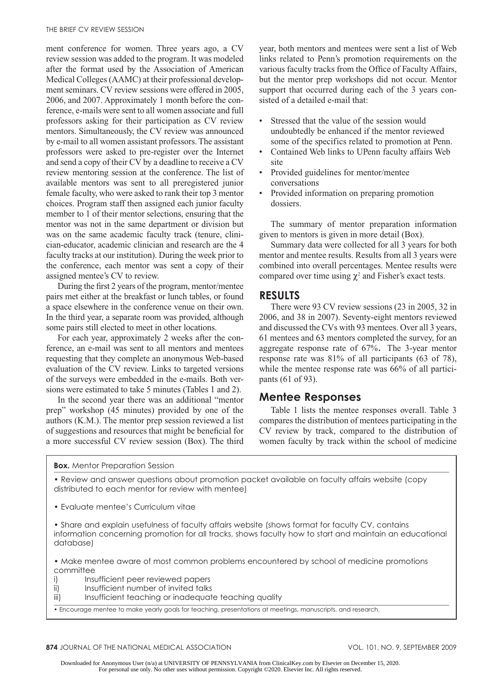ment conference for women. Three years ago, a CV review session was added to the program. It was modeled after the format used by the Association of American Medical Colleges (AAMC) at their professional development seminars. CV review sessions were offered in 2005, 2006, and 2007. Approximately 1 month before the conference, e-mails were sent to all women associate and full professors asking for their participation as CV review mentors. Simultaneously, the CV review was announced by e-mail to all women assistant professors. The assistant professors were asked to pre-register over the Internet and send a copy of their CV by a deadline to receive a CV review mentoring session at the conference. The list of available mentors was sent to all preregistered junior female faculty, who were asked to rank their top 3 mentor choices. Program staff then assigned each junior faculty member to 1 of their mentor selections, ensuring that the mentor was not in the same department or division but was on the same academic faculty track (tenure, clinician-educator, academic clinician and research are the 4 faculty tracks at our institution). During the week prior to the conference, each mentor was sent a copy of their assigned mentee's CV to review.

During the first 2 years of the program, mentor/mentee pairs met either at the breakfast or lunch tables, or found a space elsewhere in the conference venue on their own. In the third year, a separate room was provided, although some pairs still elected to meet in other locations.

For each year, approximately 2 weeks after the conference, an e-mail was sent to all mentors and mentees requesting that they complete an anonymous Web-based evaluation of the CV review. Links to targeted versions of the surveys were embedded in the e-mails. Both versions were estimated to take 5 minutes (Tables 1 and 2).

In the second year there was an additional "mentor prep" workshop (45 minutes) provided by one of the authors (K.M.). The mentor prep session reviewed a list of suggestions and resources that might be beneficial for a more successful CV review session (Box). The third year, both mentors and mentees were sent a list of Web links related to Penn's promotion requirements on the various faculty tracks from the Office of Faculty Affairs, but the mentor prep workshops did not occur. Mentor support that occurred during each of the 3 years consisted of a detailed e-mail that:

- Stressed that the value of the session would undoubtedly be enhanced if the mentor reviewed some of the specifics related to promotion at Penn. •
- Contained Web links to UPenn faculty affairs Web site •
- Provided guidelines for mentor/mentee conversations
- Provided information on preparing promotion dossiers. •

The summary of mentor preparation information given to mentors is given in more detail (Box).

Summary data were collected for all 3 years for both mentor and mentee results. Results from all 3 years were combined into overall percentages. Mentee results were compared over time using  $\chi^2$  and Fisher's exact tests.

# **Results**

There were 93 CV review sessions (23 in 2005, 32 in 2006, and 38 in 2007). Seventy-eight mentors reviewed and discussed the CVs with 93 mentees. Over all 3 years, 61 mentees and 63 mentors completed the survey, for an aggregate response rate of 67%. The 3-year mentor response rate was 81% of all participants (63 of 78), while the mentee response rate was 66% of all participants (61 of 93).

# **Mentee Responses**

Table 1 lists the mentee responses overall. Table 3 compares the distribution of mentees participating in the CV review by track, compared to the distribution of women faculty by track within the school of medicine

**Box.** Mentor Preparation Session

• Review and answer questions about promotion packet available on faculty affairs website (copy distributed to each mentor for review with mentee)

• Evaluate mentee's Curriculum vitae

• Share and explain usefulness of faculty affairs website (shows format for faculty CV, contains information concerning promotion for all tracks, shows faculty how to start and maintain an educational database)

• Make mentee aware of most common problems encountered by school of medicine promotions committee

- i) Insufficient peer reviewed papers
- ii) Insufficient number of invited talks
- iii) Insufficient teaching or inadequate teaching quality

• Encourage mentee to make yearly goals for teaching, presentations at meetings, manuscripts, and research.

**874** JOURNAL OF THE NATIONAL MEDICAL ASSOCIATION VOL. 101, NO. 9, SEPTEMBER 2009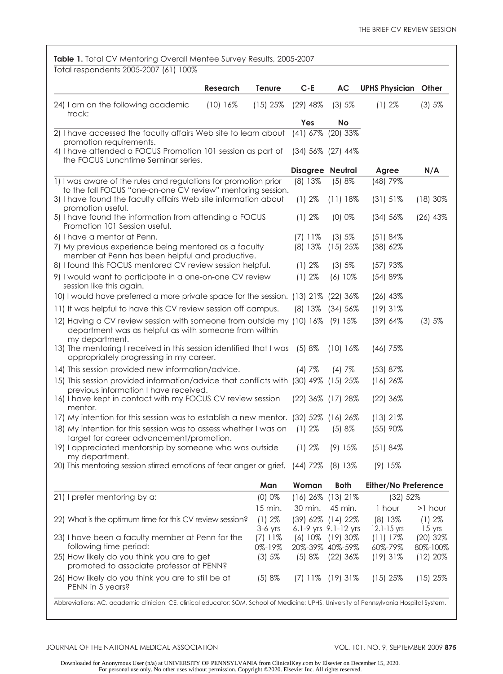| Total respondents 2005-2007 (61) 100%                                                                                                                   |                        |                       |                                              |                                |                        |
|---------------------------------------------------------------------------------------------------------------------------------------------------------|------------------------|-----------------------|----------------------------------------------|--------------------------------|------------------------|
| <b>Research</b>                                                                                                                                         | Tenure                 | $C - E$               | <b>AC</b>                                    | <b>UPHS Physician</b>          | Other                  |
| 24) I am on the following academic<br>$(10)$ 16%<br>track:                                                                                              | $(15)$ 25%             | $(29)$ 48%            | (3) 5%                                       | (1) 2%                         | (3) 5%                 |
|                                                                                                                                                         |                        | Yes                   | <b>No</b>                                    |                                |                        |
| 2) I have accessed the faculty affairs Web site to learn about<br>promotion requirements.                                                               |                        | (41) 67%              | $(20)$ 33%                                   |                                |                        |
| 4) I have attended a FOCUS Promotion 101 session as part of<br>the FOCUS Lunchtime Seminar series.                                                      |                        | $(34)$ 56% $(27)$ 44% |                                              |                                |                        |
|                                                                                                                                                         |                        | Disagree Neutral      |                                              | Agree                          | N/A                    |
| 1) I was aware of the rules and regulations for promotion prior<br>to the fall FOCUS "one-on-one CV review" mentoring session.                          |                        | (8) 13%               | (5) 8%                                       | (48) 79%                       |                        |
| 3) I have found the faculty affairs Web site information about<br>promotion useful.                                                                     |                        | (1) 2%                | $(11)$ 18%                                   | (31) 51%                       | $(18)30\%$             |
| 5) I have found the information from attending a FOCUS<br>Promotion 101 Session useful.                                                                 |                        | (1)2%                 | (0) 0%                                       | (34) 56%                       | $(26)$ 43%             |
| 6) I have a mentor at Penn.                                                                                                                             |                        | $(7)$ 11%             | (3) 5%                                       | (51) 84%                       |                        |
| 7) My previous experience being mentored as a faculty<br>member at Penn has been helpful and productive.                                                |                        | (8) 13%               | $(15)$ 25%                                   | (38) 62%                       |                        |
| 8) I found this FOCUS mentored CV review session helpful.                                                                                               |                        | (1) 2%                | (3) 5%                                       | $(57)$ 93%                     |                        |
| 9) I would want to participate in a one-on-one CV review<br>session like this again.                                                                    |                        | (1) 2%                | $(6) 10\%$                                   | (54) 89%                       |                        |
| 10) I would have preferred a more private space for the session. (13) 21% (22) 36%                                                                      |                        |                       |                                              | $(26)$ 43%                     |                        |
| 11) It was helpful to have this CV review session off campus.                                                                                           |                        |                       | (8) 13% (34) 56%                             | $(19)$ 31%                     |                        |
| 12) Having a CV review session with someone from outside my (10) 16% (9) 15%<br>department was as helpful as with someone from within<br>my department. |                        |                       |                                              | (39) 64%                       | (3) 5%                 |
| 13) The mentoring I received in this session identified that I was<br>appropriately progressing in my career.                                           |                        | (5)8%                 | $(10)$ 16%                                   | $(46)$ 75%                     |                        |
| 14) This session provided new information/advice.                                                                                                       |                        | (4)7%                 | (4)7%                                        | (53) 87%                       |                        |
| 15) This session provided information/advice that conflicts with (30) 49% (15) 25%<br>previous information I have received.                             |                        |                       |                                              | $(16)$ 26%                     |                        |
| 16) I have kept in contact with my FOCUS CV review session<br>mentor.                                                                                   |                        | (22) 36% (17) 28%     |                                              | $(22)$ 36%                     |                        |
| 17) My intention for this session was to establish a new mentor. (32) 52% (16) 26%                                                                      |                        |                       |                                              | $(13)$ 21%                     |                        |
| 18) My intention for this session was to assess whether I was on<br>target for career advancement/promotion.                                            |                        | (1)2%                 | (5) 8%                                       | (55) 90%                       |                        |
| 19) I appreciated mentorship by someone who was outside<br>my department.                                                                               |                        | (1) 2%                | (9) 15%                                      | (51)84%                        |                        |
| 20) This mentoring session stirred emotions of fear anger or grief. (44) 72%                                                                            |                        |                       | (8) 13%                                      | (9) 15%                        |                        |
|                                                                                                                                                         | Man                    | Woman                 | <b>Both</b>                                  | Either/No Preference           |                        |
| 21) I prefer mentoring by a:                                                                                                                            | (0) 0%                 | $(16)$ 26%            | $(13)$ 21%                                   | (32) 52%                       |                        |
|                                                                                                                                                         | 15 min.                | 30 min.               | 45 min.                                      | 1 hour                         | >1 hour                |
| 22) What is the optimum time for this CV review session?                                                                                                | (1) 2%                 |                       | (39) 62% (14) 22%                            | $(8)$ 13%                      | (1)2%                  |
| 23) I have been a faculty member at Penn for the                                                                                                        | $3-6$ yrs<br>$(7)$ 11% |                       | 6.1-9 yrs 9.1-12 yrs<br>$(6)$ 10% $(19)$ 30% | $12.1 - 15$ yrs<br>$(11) 17\%$ | $15$ yrs<br>$(20)$ 32% |
| following time period:                                                                                                                                  | 0%-19%                 | 20%-39% 40%-59%       |                                              | 60%-79%                        | 80%-100%               |
| 25) How likely do you think you are to get<br>promoted to associate professor at PENN?                                                                  | (3) 5%                 | (5) 8%                | $(22)$ 36%                                   | (19)31%                        | (12) 20%               |
| 26) How likely do you think you are to still be at<br>PENN in 5 years?                                                                                  | (5) 8%                 | $(7)$ 11\%            | $(19)31\%$                                   | $(15)$ 25%                     | $(15)$ 25%             |

Abbreviations: AC, academic clinician; CE, clinical educator; SOM, School of Medicine; UPHS, University of Pennsylvania Hospital System.

#### JOURNAL OF THE NATIONAL MEDICAL ASSOCIATION VOL. 101, NO. 9, SEPTEMBER 2009 **875**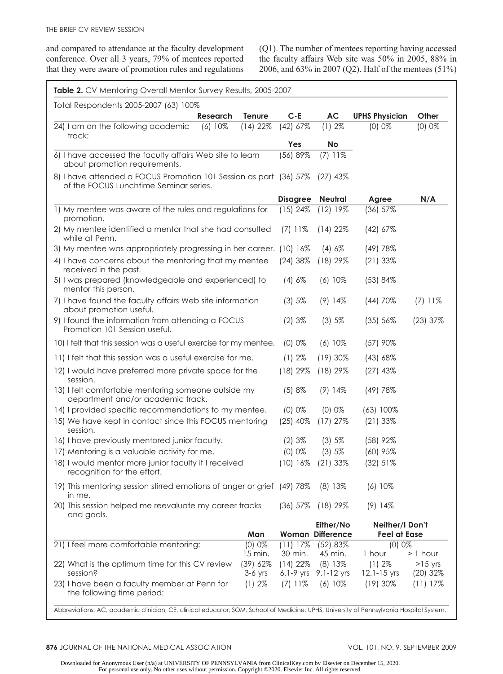and compared to attendance at the faculty development conference. Over all 3 years, 79% of mentees reported that they were aware of promotion rules and regulations (Q1). The number of mentees reporting having accessed the faculty affairs Web site was 50% in 2005, 88% in 2006, and 63% in 2007 (Q2). Half of the mentees (51%)

| Total Respondents 2005-2007 (63) 100%                                                                       |                  |                 |                                     |                               |            |
|-------------------------------------------------------------------------------------------------------------|------------------|-----------------|-------------------------------------|-------------------------------|------------|
| <b>Research</b>                                                                                             | <b>Tenure</b>    | $C - E$         | <b>AC</b>                           | <b>UPHS Physician</b>         | Other      |
| 24) I am on the following academic<br>(6) 10%<br>track:                                                     | $(14)$ 22%       | $(42)$ 67%      | (1)2%                               | (0) 0%                        | (0) 0%     |
|                                                                                                             |                  | Yes             | <b>No</b>                           |                               |            |
| 6) I have accessed the faculty affairs Web site to learn<br>about promotion requirements.                   |                  | (56) 89%        | $(7)$ 11%                           |                               |            |
| 8) I have attended a FOCUS Promotion 101 Session as part (36) 57%<br>of the FOCUS Lunchtime Seminar series. |                  |                 | $(27)$ 43%                          |                               |            |
|                                                                                                             |                  | <b>Disagree</b> | Neutral                             | Agree                         | N/A        |
| 1) My mentee was aware of the rules and regulations for<br>promotion.                                       |                  | $(15)$ 24%      | $(12)$ 19%                          | $(36)$ 57%                    |            |
| 2) My mentee identified a mentor that she had consulted<br>while at Penn.                                   |                  | $(7)$ 11%       | $(14)$ 22%                          | $(42)$ 67%                    |            |
| 3) My mentee was appropriately progressing in her career. (10) 16%                                          |                  |                 | (4) 6%                              | (49) 78%                      |            |
| 4) I have concerns about the mentoring that my mentee<br>received in the past.                              |                  | $(24)$ 38%      | $(18)$ 29%                          | $(21)$ 33%                    |            |
| 5) I was prepared (knowledgeable and experienced) to<br>mentor this person.                                 |                  | (4) 6%          | (6) 10%                             | (53) 84%                      |            |
| 7) I have found the faculty affairs Web site information<br>about promotion useful.                         |                  | (3) 5%          | $(9)$ 14%                           | (44) 70%                      | $(7)$ 11%  |
| 9) I found the information from attending a FOCUS<br>Promotion 101 Session useful.                          |                  | (2)3%           | (3) 5%                              | (35) 56%                      | (23) 37%   |
| 10) I felt that this session was a useful exercise for my mentee.                                           |                  | $(0)$ 0%        | $(6) 10\%$                          | $(57)$ 90%                    |            |
| 11) I felt that this session was a useful exercise for me.                                                  |                  | (1) 2%          | $(19)30\%$                          | (43) 68%                      |            |
| 12) I would have preferred more private space for the<br>session.                                           |                  | $(18)$ 29%      | $(18)$ 29%                          | $(27)$ 43%                    |            |
| 13) I felt comfortable mentoring someone outside my<br>department and/or academic track.                    |                  | (5) 8%          | $(9)$ 14%                           | (49) 78%                      |            |
| 14) I provided specific recommendations to my mentee.                                                       |                  | (0) 0%          | (0) 0%                              | $(63) 100\%$                  |            |
| 15) We have kept in contact since this FOCUS mentoring<br>session.                                          |                  | $(25)$ 40%      | $(17)$ 27%                          | $(21)$ 33%                    |            |
| 16) I have previously mentored junior faculty.                                                              |                  | (2)3%           | (3) 5%                              | $(58)$ 92%                    |            |
| 17) Mentoring is a valuable activity for me.                                                                |                  | (0) 0%          | (3) 5%                              | $(60)$ 95%                    |            |
| 18) I would mentor more junior faculty if I received<br>recognition for the effort.                         |                  | (10) 16%        | $(21)$ 33%                          | (32) 51%                      |            |
| 19) This mentoring session stirred emotions of anger or grief (49) 78%<br>in me.                            |                  |                 | (8) 13%                             | $(6)10\%$                     |            |
| 20) This session helped me reevaluate my career tracks<br>and goals.                                        |                  | $(36)$ 57%      | $(18)$ 29%                          | $(9)$ 14\%                    |            |
|                                                                                                             |                  |                 | Either/No                           | Neither/I Don't               |            |
| 21) I feel more comfortable mentoring:                                                                      | Man<br>$(0) 0\%$ | $(11)$ 17%      | <b>Woman Difference</b><br>(52) 83% | <b>Feel at Ease</b><br>(0) 0% |            |
|                                                                                                             | 15 min.          | 30 min.         | 45 min.                             | 1 hour                        | $> 1$ hour |
| 22) What is the optimum time for this CV review                                                             | (39) 62%         | $(14)$ 22%      | (8) 13%                             | (1) 2%                        | $>15$ yrs  |
| session?                                                                                                    | $3-6$ yrs        | $6.1-9$ yrs     | 9.1-12 yrs                          | $12.1 - 15$ yrs               | $(20)$ 32% |
| 23) I have been a faculty member at Penn for<br>the following time period:                                  | (1)2%            | $(7)$ 11\%      | $(6)$ 10%                           | $(19)30\%$                    | $(11)$ 17% |

876 JOURNAL OF THE NATIONAL MEDICAL ASSOCIATION **VOL. 101, NO. 9, SEPTEMBER 2009**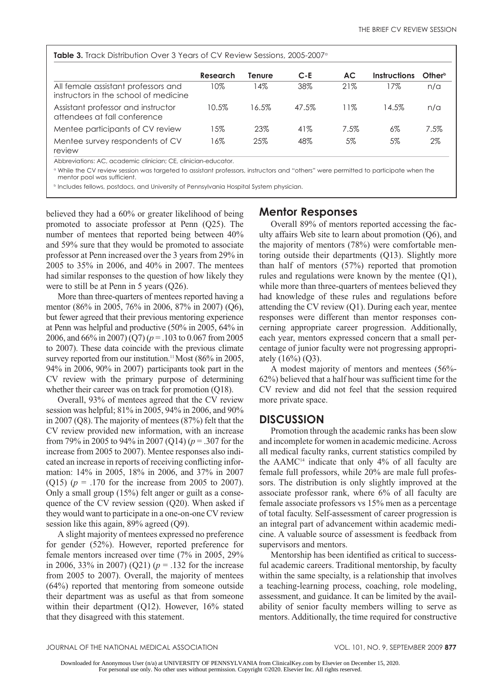| <b>Table 3.</b> Track Distribution Over 3 Years of CV Review Sessions, 2005-2007 <sup>°</sup> |          |        |         |           |              |                    |  |  |
|-----------------------------------------------------------------------------------------------|----------|--------|---------|-----------|--------------|--------------------|--|--|
|                                                                                               | Research | Tenure | $C - E$ | <b>AC</b> | Instructions | Other <sup>b</sup> |  |  |
| All female assistant professors and<br>instructors in the school of medicine                  | 10%      | l 4%   | 38%     | 21%       | 7%           | n/a                |  |  |
| Assistant professor and instructor<br>attendees at fall conference                            | 10.5%    | 16.5%  | 47.5%   | 11%       | 14.5%        | n/a                |  |  |
| Mentee participants of CV review                                                              | 15%      | 23%    | 41%     | 7.5%      | 6%           | 7.5%               |  |  |
| Mentee survey respondents of CV<br>review                                                     | 16%      | 25%    | 48%     | 5%        | 5%           | $2\%$              |  |  |

Abbreviations: AC, academic clinician; CE, clinician-educator.

<sup>a</sup> While the CV review session was targeted to assistant professors, instructors and "others" were permitted to participate when the mentor pool was sufficient.

b Includes fellows, postdocs, and University of Pennsylvania Hospital System physician.

believed they had a 60% or greater likelihood of being promoted to associate professor at Penn (Q25). The number of mentees that reported being between 40% and 59% sure that they would be promoted to associate professor at Penn increased over the 3 years from 29% in 2005 to 35% in 2006, and 40% in 2007. The mentees had similar responses to the question of how likely they were to still be at Penn in 5 years (Q26).

More than three-quarters of mentees reported having a mentor (86% in 2005, 76% in 2006, 87% in 2007) (Q6), but fewer agreed that their previous mentoring experience at Penn was helpful and productive (50% in 2005, 64% in 2006, and 66% in 2007) (Q7) (*p* = .103 to 0.067 from 2005 to 2007). These data coincide with the previous climate survey reported from our institution.<sup>11</sup> Most (86% in 2005, 94% in 2006, 90% in 2007) participants took part in the CV review with the primary purpose of determining whether their career was on track for promotion (Q18).

Overall, 93% of mentees agreed that the CV review session was helpful; 81% in 2005, 94% in 2006, and 90% in 2007 (Q8). The majority of mentees (87%) felt that the CV review provided new information, with an increase from 79% in 2005 to 94% in 2007 (Q14) (*p* = .307 for the increase from 2005 to 2007). Mentee responses also indicated an increase in reports of receiving conflicting information: 14% in 2005, 18% in 2006, and 37% in 2007 (Q15) ( $p = .170$  for the increase from 2005 to 2007). Only a small group (15%) felt anger or guilt as a consequence of the CV review session (Q20). When asked if they would want to participate in a one-on-one CV review session like this again, 89% agreed (Q9).

A slight majority of mentees expressed no preference for gender (52%). However, reported preference for female mentors increased over time (7% in 2005, 29% in 2006, 33% in 2007) (Q21) (*p* = .132 for the increase from 2005 to 2007). Overall, the majority of mentees (64%) reported that mentoring from someone outside their department was as useful as that from someone within their department (Q12). However, 16% stated that they disagreed with this statement.

# **Mentor Responses**

Overall 89% of mentors reported accessing the faculty affairs Web site to learn about promotion (Q6), and the majority of mentors (78%) were comfortable mentoring outside their departments (Q13). Slightly more than half of mentors (57%) reported that promotion rules and regulations were known by the mentee (Q1), while more than three-quarters of mentees believed they had knowledge of these rules and regulations before attending the CV review (Q1). During each year, mentee responses were different than mentor responses concerning appropriate career progression. Additionally, each year, mentors expressed concern that a small percentage of junior faculty were not progressing appropriately  $(16\%) (Q3)$ .

A modest majority of mentors and mentees (56%- 62%) believed that a half hour was sufficient time for the CV review and did not feel that the session required more private space.

# **Discussion**

Promotion through the academic ranks has been slow and incomplete for women in academic medicine. Across all medical faculty ranks, current statistics compiled by the  $AAMC<sup>14</sup>$  indicate that only 4% of all faculty are female full professors, while 20% are male full professors. The distribution is only slightly improved at the associate professor rank, where 6% of all faculty are female associate professors vs 15% men as a percentage of total faculty. Self-assessment of career progression is an integral part of advancement within academic medicine. A valuable source of assessment is feedback from supervisors and mentors.

Mentorship has been identified as critical to successful academic careers. Traditional mentorship, by faculty within the same specialty, is a relationship that involves a teaching-learning process, coaching, role modeling, assessment, and guidance. It can be limited by the availability of senior faculty members willing to serve as mentors. Additionally, the time required for constructive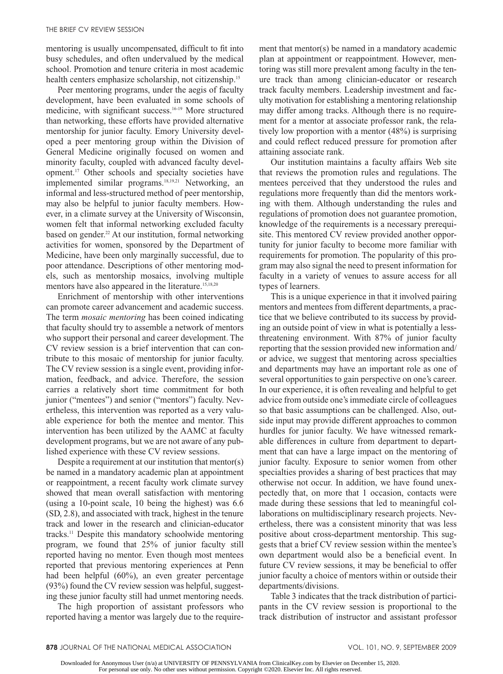mentoring is usually uncompensated, difficult to fit into busy schedules, and often undervalued by the medical school. Promotion and tenure criteria in most academic health centers emphasize scholarship, not citizenship.<sup>15</sup>

Peer mentoring programs, under the aegis of faculty development, have been evaluated in some schools of medicine, with significant success.16-19 More structured than networking, these efforts have provided alternative mentorship for junior faculty. Emory University developed a peer mentoring group within the Division of General Medicine originally focused on women and minority faculty, coupled with advanced faculty development.17 Other schools and specialty societies have implemented similar programs.<sup>18,19,21</sup> Networking, an informal and less-structured method of peer mentorship, may also be helpful to junior faculty members. However, in a climate survey at the University of Wisconsin, women felt that informal networking excluded faculty based on gender.<sup>22</sup> At our institution, formal networking activities for women, sponsored by the Department of Medicine, have been only marginally successful, due to poor attendance. Descriptions of other mentoring models, such as mentorship mosaics, involving multiple mentors have also appeared in the literature.<sup>15,18,20</sup>

Enrichment of mentorship with other interventions can promote career advancement and academic success. The term *mosaic mentoring* has been coined indicating that faculty should try to assemble a network of mentors who support their personal and career development. The CV review session is a brief intervention that can contribute to this mosaic of mentorship for junior faculty. The CV review session is a single event, providing information, feedback, and advice. Therefore, the session carries a relatively short time commitment for both junior ("mentees") and senior ("mentors") faculty. Nevertheless, this intervention was reported as a very valuable experience for both the mentee and mentor. This intervention has been utilized by the AAMC at faculty development programs, but we are not aware of any published experience with these CV review sessions.

Despite a requirement at our institution that mentor(s) be named in a mandatory academic plan at appointment or reappointment, a recent faculty work climate survey showed that mean overall satisfaction with mentoring (using a 10-point scale, 10 being the highest) was 6.6 (SD, 2.8), and associated with track, highest in the tenure track and lower in the research and clinician-educator tracks.11 Despite this mandatory schoolwide mentoring program, we found that 25% of junior faculty still reported having no mentor. Even though most mentees reported that previous mentoring experiences at Penn had been helpful (60%), an even greater percentage (93%) found the CV review session was helpful, suggesting these junior faculty still had unmet mentoring needs.

The high proportion of assistant professors who reported having a mentor was largely due to the requirement that mentor(s) be named in a mandatory academic plan at appointment or reappointment. However, mentoring was still more prevalent among faculty in the tenure track than among clinician-educator or research track faculty members. Leadership investment and faculty motivation for establishing a mentoring relationship may differ among tracks. Although there is no requirement for a mentor at associate professor rank, the relatively low proportion with a mentor (48%) is surprising and could reflect reduced pressure for promotion after attaining associate rank.

Our institution maintains a faculty affairs Web site that reviews the promotion rules and regulations. The mentees perceived that they understood the rules and regulations more frequently than did the mentors working with them. Although understanding the rules and regulations of promotion does not guarantee promotion, knowledge of the requirements is a necessary prerequisite. This mentored CV review provided another opportunity for junior faculty to become more familiar with requirements for promotion. The popularity of this program may also signal the need to present information for faculty in a variety of venues to assure access for all types of learners.

This is a unique experience in that it involved pairing mentors and mentees from different departments, a practice that we believe contributed to its success by providing an outside point of view in what is potentially a lessthreatening environment. With 87% of junior faculty reporting that the session provided new information and/ or advice, we suggest that mentoring across specialties and departments may have an important role as one of several opportunities to gain perspective on one's career. In our experience, it is often revealing and helpful to get advice from outside one's immediate circle of colleagues so that basic assumptions can be challenged. Also, outside input may provide different approaches to common hurdles for junior faculty. We have witnessed remarkable differences in culture from department to department that can have a large impact on the mentoring of junior faculty. Exposure to senior women from other specialties provides a sharing of best practices that may otherwise not occur. In addition, we have found unexpectedly that, on more that 1 occasion, contacts were made during these sessions that led to meaningful collaborations on multidisciplinary research projects. Nevertheless, there was a consistent minority that was less positive about cross-department mentorship. This suggests that a brief CV review session within the mentee's own department would also be a beneficial event. In future CV review sessions, it may be beneficial to offer junior faculty a choice of mentors within or outside their departments/divisions.

Table 3 indicates that the track distribution of participants in the CV review session is proportional to the track distribution of instructor and assistant professor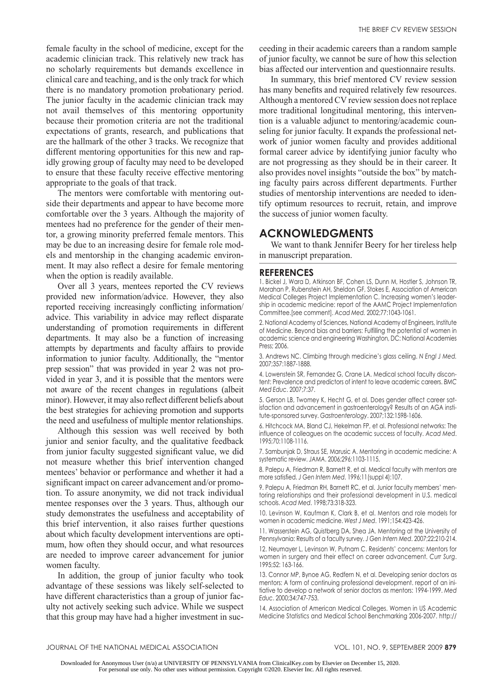female faculty in the school of medicine, except for the academic clinician track. This relatively new track has no scholarly requirements but demands excellence in clinical care and teaching, and is the only track for which there is no mandatory promotion probationary period. The junior faculty in the academic clinician track may not avail themselves of this mentoring opportunity because their promotion criteria are not the traditional expectations of grants, research, and publications that are the hallmark of the other 3 tracks. We recognize that different mentoring opportunities for this new and rapidly growing group of faculty may need to be developed to ensure that these faculty receive effective mentoring appropriate to the goals of that track.

The mentors were comfortable with mentoring outside their departments and appear to have become more comfortable over the 3 years. Although the majority of mentees had no preference for the gender of their mentor, a growing minority preferred female mentors. This may be due to an increasing desire for female role models and mentorship in the changing academic environment. It may also reflect a desire for female mentoring when the option is readily available.

Over all 3 years, mentees reported the CV reviews provided new information/advice. However, they also reported receiving increasingly conflicting information/ advice. This variability in advice may reflect disparate understanding of promotion requirements in different departments. It may also be a function of increasing attempts by departments and faculty affairs to provide information to junior faculty. Additionally, the "mentor prep session" that was provided in year 2 was not provided in year 3, and it is possible that the mentors were not aware of the recent changes in regulations (albeit minor). However, it may also reflect different beliefs about the best strategies for achieving promotion and supports the need and usefulness of multiple mentor relationships.

Although this session was well received by both junior and senior faculty, and the qualitative feedback from junior faculty suggested significant value, we did not measure whether this brief intervention changed mentees' behavior or performance and whether it had a significant impact on career advancement and/or promotion. To assure anonymity, we did not track individual mentee responses over the 3 years. Thus, although our study demonstrates the usefulness and acceptability of this brief intervention, it also raises further questions about which faculty development interventions are optimum, how often they should occur, and what resources are needed to improve career advancement for junior women faculty.

In addition, the group of junior faculty who took advantage of these sessions was likely self-selected to have different characteristics than a group of junior faculty not actively seeking such advice. While we suspect that this group may have had a higher investment in suc-

ceeding in their academic careers than a random sample of junior faculty, we cannot be sure of how this selection bias affected our intervention and questionnaire results.

In summary, this brief mentored CV review session has many benefits and required relatively few resources. Although a mentored CV review session does not replace more traditional longitudinal mentoring, this intervention is a valuable adjunct to mentoring/academic counseling for junior faculty. It expands the professional network of junior women faculty and provides additional formal career advice by identifying junior faculty who are not progressing as they should be in their career. It also provides novel insights "outside the box" by matching faculty pairs across different departments. Further studies of mentorship interventions are needed to identify optimum resources to recruit, retain, and improve the success of junior women faculty.

# **Acknowledgments**

We want to thank Jennifer Beery for her tireless help in manuscript preparation.

#### **References**

1. Bickel J, Wara D, Atkinson BF, Cohen LS, Dunn M, Hostler S, Johnson TR, Morahan P, Rubenstein AH, Sheldon GF, Stokes E, Association of American Medical Colleges Project Implementation C. Increasing women's leadership in academic medicine: report of the AAMC Project Implementation Committee.[see comment]. *Acad Med.* 2002;77:1043-1061.

2. National Academy of Sciences, National Academy of Engineers, Institute of Medicine. Beyond bias and barriers: Fulfilling the potential of women in academic science and engineering Washington, DC: National Academies Press; 2006.

3. Andrews NC. Climbing through medicine's glass ceiling. *N Engl J Med.*  2007;357:1887-1888.

4. Lowenstein SR, Fernandez G, Crane LA. Medical school faculty discontent: Prevalence and predictors of intent to leave academic careers. *BMC Med Educ*. 2007;7:37.

5. Gerson LB, Twomey K, Hecht G, et al. Does gender affect career satisfaction and advancement in gastroenterology? Results of an AGA institute-sponsored survey. *Gastroenterology*. 2007;132:1598-1606.

6. Hitchcock MA, Bland CJ, Hekelman FP, et al. Professional networks: The influence of colleagues on the academic success of faculty. *Acad Med*. 1995;70:1108-1116.

7. Sambunjak D, Straus SE, Marusic A. Mentoring in academic medicine: A systematic review. *JAMA*. 2006;296:1103-1115.

8. Palepu A, Friedman R, Barnett R, et al. Medical faculty with mentors are more satisfied. *J Gen Intern Med*. 1996;11(suppl 4):107.

9. Palepu A, Friedman RH, Barnett RC, et al. Junior faculty members' mentoring relationships and their professional development in U.S. medical schools. *Acad Med*. 1998;73:318-323.

10. Levinson W, Kaufman K, Clark B, et al. Mentors and role models for women in academic medicine. *West J Med*. 1991;154:423-426.

11. Wasserstein AG, Quistberg DA, Shea JA. Mentoring at the University of Pennsylvania: Results of a faculty survey. *J Gen Intern Med*. 2007;22:210-214.

12. Neumayer L, Levinson W, Putnam C. Residents' concerns: Mentors for women in surgery and their effect on career advancement. *Curr Surg*. 1995;52: 163-166.

13. Connor MP, Bynoe AG, Redfern N, et al. Developing senior doctors as mentors: A form of continuing professional development. report of an initiative to develop a network of senior doctors as mentors: 1994-1999. *Med Educ*. 2000;34:747-753.

14. Association of American Medical Colleges. Women in US Academic Medicine Statistics and Medical School Benchmarking 2006-2007. http://